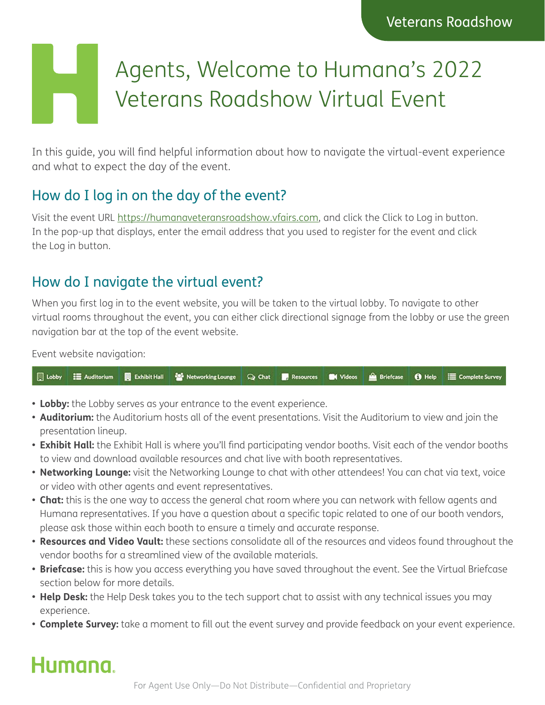# Agents, Welcome to Humana's 2022 Veterans Roadshow Virtual Event

In this guide, you will find helpful information about how to navigate the virtual-event experience and what to expect the day of the event.

#### How do I log in on the day of the event?

Visit the event URL [https://humanaveteransroadshow.vfairs.com,](https://humanaveteransroadshow.vfairs.com) and click the Click to Log in button. In the pop-up that displays, enter the email address that you used to register for the event and click the Log in button.

#### How do I navigate the virtual event?

When you first log in to the event website, you will be taken to the virtual lobby. To navigate to other virtual rooms throughout the event, you can either click directional signage from the lobby or use the green navigation bar at the top of the event website.

Event website navigation:

|  |  | ■ Lobby   Auditorium ■ Exhibit Hall <sup>12</sup> Networking Lounge   Q Chat ■ Resources ■ Videos   Briefcase ● Help     Complete Survey |  |  |  |  |  |  |
|--|--|------------------------------------------------------------------------------------------------------------------------------------------|--|--|--|--|--|--|
|--|--|------------------------------------------------------------------------------------------------------------------------------------------|--|--|--|--|--|--|

- **• Lobby:** the Lobby serves as your entrance to the event experience.
- **• Auditorium:** the Auditorium hosts all of the event presentations. Visit the Auditorium to view and join the presentation lineup.
- **• Exhibit Hall:** the Exhibit Hall is where you'll find participating vendor booths. Visit each of the vendor booths to view and download available resources and chat live with booth representatives.
- **• Networking Lounge:** visit the Networking Lounge to chat with other attendees! You can chat via text, voice or video with other agents and event representatives.
- **• Chat:** this is the one way to access the general chat room where you can network with fellow agents and Humana representatives. If you have a question about a specific topic related to one of our booth vendors, please ask those within each booth to ensure a timely and accurate response.
- **• Resources and Video Vault:** these sections consolidate all of the resources and videos found throughout the vendor booths for a streamlined view of the available materials.
- **• Briefcase:** this is how you access everything you have saved throughout the event. See the Virtual Briefcase section below for more details.
- **• Help Desk:** the Help Desk takes you to the tech support chat to assist with any technical issues you may experience.
- **• Complete Survey:** take a moment to fill out the event survey and provide feedback on your event experience.

## Humana.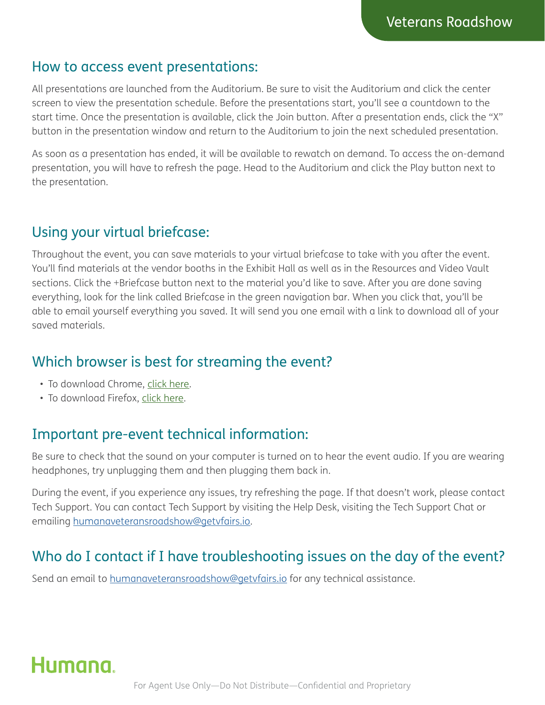#### How to access event presentations:

All presentations are launched from the Auditorium. Be sure to visit the Auditorium and click the center screen to view the presentation schedule. Before the presentations start, you'll see a countdown to the start time. Once the presentation is available, click the Join button. After a presentation ends, click the "X" button in the presentation window and return to the Auditorium to join the next scheduled presentation.

As soon as a presentation has ended, it will be available to rewatch on demand. To access the on-demand presentation, you will have to refresh the page. Head to the Auditorium and click the Play button next to the presentation.

#### Using your virtual briefcase:

Throughout the event, you can save materials to your virtual briefcase to take with you after the event. You'll find materials at the vendor booths in the Exhibit Hall as well as in the Resources and Video Vault sections. Click the +Briefcase button next to the material you'd like to save. After you are done saving everything, look for the link called Briefcase in the green navigation bar. When you click that, you'll be able to email yourself everything you saved. It will send you one email with a link to download all of your saved materials.

#### Which browser is best for streaming the event?

- To download Chrome, [click here.](https://support.google.com/chrome/answer/95346)
- To download Firefox, [click here](https://www.mozilla.org/en-US/firefox/new/).

#### Important pre-event technical information:

Be sure to check that the sound on your computer is turned on to hear the event audio. If you are wearing headphones, try unplugging them and then plugging them back in.

During the event, if you experience any issues, try refreshing the page. If that doesn't work, please contact Tech Support. You can contact Tech Support by visiting the Help Desk, visiting the Tech Support Chat or emailing [humanaveteransroadshow@getvfairs.io](mailto: humanaveteransroadshow@getvfairs.io).

#### Who do I contact if I have troubleshooting issues on the day of the event?

Send an email to [humanaveteransroadshow@getvfairs.io](mailto: humanaveteransroadshow@getvfairs.io) for any technical assistance.

## Humana.